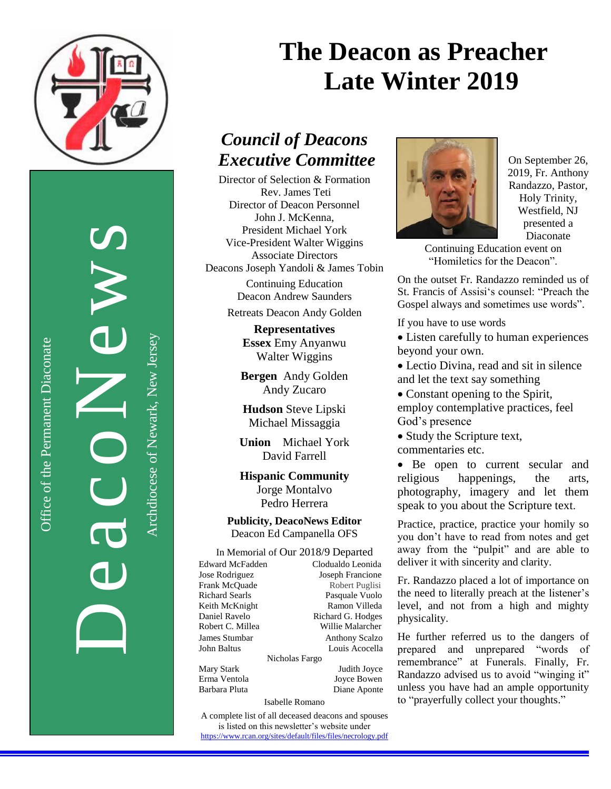

DeacoNews<br>Auchtere of Newslerse

Office of the Permanent Diaconate

Office of the Permanent Diaconate

Archdiocese of Newark, New JerseyArchdiocese of Newark, New Jersey

# **The Deacon as Preacher Late Winter 2019**

## *Council of Deacons Executive Committee*

Director of Selection & Formation Rev. James Teti Director of Deacon Personnel John J. McKenna, President Michael York Vice-President Walter Wiggins Associate Directors Deacons Joseph Yandoli & James Tobin

> Continuing Education Deacon Andrew Saunders

Retreats Deacon Andy Golden

**Representatives Essex** Emy Anyanwu Walter Wiggins

**Bergen** Andy Golden Andy Zucaro

**Hudson** Steve Lipski Michael Missaggia

**Union** Michael York David Farrell

**Hispanic Community** Jorge Montalvo Pedro Herrera

**Publicity, DeacoNews Editor** Deacon Ed Campanella OFS

### In Memorial of Our 2018/9 Departed

| Edward McFadden<br>Clodualdo Leonida |
|--------------------------------------|
| Joseph Francione                     |
| Robert Puglisi                       |
| Pasquale Vuolo                       |
| Ramon Villeda                        |
| Richard G. Hodges                    |
| Willie Malarcher                     |
| <b>Anthony Scalzo</b>                |
| Louis Acocella                       |
| Nicholas Fargo                       |
| Judith Joyce                         |
| Joyce Bowen                          |
| Diane Aponte                         |
|                                      |

Isabelle Romano

A complete list of all deceased deacons and spouses is listed on this newsletter's website under <https://www.rcan.org/sites/default/files/files/necrology.pdf>



On September 26, 2019, Fr. Anthony Randazzo, Pastor, Holy Trinity, Westfield, NJ presented a Diaconate

Continuing Education event on "Homiletics for the Deacon".

On the outset Fr. Randazzo reminded us of St. Francis of Assisi's counsel: "Preach the Gospel always and sometimes use words".

If you have to use words

 Listen carefully to human experiences beyond your own.

 Lectio Divina, read and sit in silence and let the text say something

 Constant opening to the Spirit, employ contemplative practices, feel God's presence

• Study the Scripture text, commentaries etc.

• Be open to current secular and religious happenings, the arts, photography, imagery and let them speak to you about the Scripture text.

Practice, practice, practice your homily so you don't have to read from notes and get away from the "pulpit" and are able to deliver it with sincerity and clarity.

Fr. Randazzo placed a lot of importance on the need to literally preach at the listener's level, and not from a high and mighty physicality.

He further referred us to the dangers of prepared and unprepared "words of remembrance" at Funerals. Finally, Fr. Randazzo advised us to avoid "winging it" unless you have had an ample opportunity to "prayerfully collect your thoughts."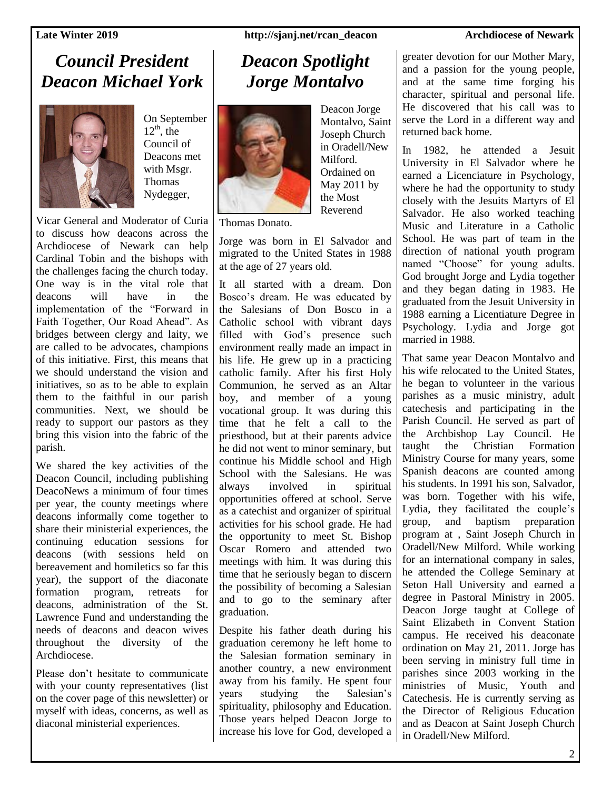## *Council President Deacon Michael York*



On September  $12<sup>th</sup>$ , the Council of Deacons met with Msgr. Thomas Nydegger,

Vicar General and Moderator of Curia to discuss how deacons across the Archdiocese of Newark can help Cardinal Tobin and the bishops with the challenges facing the church today. One way is in the vital role that deacons will have in the implementation of the "Forward in Faith Together, Our Road Ahead". As bridges between clergy and laity, we are called to be advocates, champions of this initiative. First, this means that we should understand the vision and initiatives, so as to be able to explain them to the faithful in our parish communities. Next, we should be ready to support our pastors as they bring this vision into the fabric of the parish.

We shared the key activities of the Deacon Council, including publishing DeacoNews a minimum of four times per year, the county meetings where deacons informally come together to share their ministerial experiences, the continuing education sessions for deacons (with sessions held on bereavement and homiletics so far this year), the support of the diaconate formation program, retreats for deacons, administration of the St. Lawrence Fund and understanding the needs of deacons and deacon wives throughout the diversity of the Archdiocese.

Please don't hesitate to communicate with your county representatives (list on the cover page of this newsletter) or myself with ideas, concerns, as well as diaconal ministerial experiences.

### **Late Winter 2019 http://sjanj.net/rcan\_deacon Archdiocese of Newark**

## *Deacon Spotlight Jorge Montalvo*



Deacon Jorge Montalvo, Saint Joseph Church in Oradell/New Milford. Ordained on May 2011 by the Most Reverend

Thomas Donato.

Jorge was born in El Salvador and migrated to the United States in 1988 at the age of 27 years old.

It all started with a dream. Don Bosco's dream. He was educated by the Salesians of Don Bosco in a Catholic school with vibrant days filled with God's presence such environment really made an impact in his life. He grew up in a practicing catholic family. After his first Holy Communion, he served as an Altar boy, and member of a young vocational group. It was during this time that he felt a call to the priesthood, but at their parents advice he did not went to minor seminary, but continue his Middle school and High School with the Salesians. He was always involved in spiritual opportunities offered at school. Serve as a catechist and organizer of spiritual activities for his school grade. He had the opportunity to meet St. Bishop Oscar Romero and attended two meetings with him. It was during this time that he seriously began to discern the possibility of becoming a Salesian and to go to the seminary after graduation.

Despite his father death during his graduation ceremony he left home to the Salesian formation seminary in another country, a new environment away from his family. He spent four years studying the Salesian's spirituality, philosophy and Education. Those years helped Deacon Jorge to increase his love for God, developed a

greater devotion for our Mother Mary, and a passion for the young people, and at the same time forging his character, spiritual and personal life. He discovered that his call was to serve the Lord in a different way and returned back home.

In 1982, he attended a Jesuit University in El Salvador where he earned a Licenciature in Psychology, where he had the opportunity to study closely with the Jesuits Martyrs of El Salvador. He also worked teaching Music and Literature in a Catholic School. He was part of team in the direction of national youth program named "Choose" for young adults. God brought Jorge and Lydia together and they began dating in 1983. He graduated from the Jesuit University in 1988 earning a Licentiature Degree in Psychology. Lydia and Jorge got married in 1988.

That same year Deacon Montalvo and his wife relocated to the United States, he began to volunteer in the various parishes as a music ministry, adult catechesis and participating in the Parish Council. He served as part of the Archbishop Lay Council. He taught the Christian Formation Ministry Course for many years, some Spanish deacons are counted among his students. In 1991 his son, Salvador, was born. Together with his wife, Lydia, they facilitated the couple's group, and baptism preparation program at , Saint Joseph Church in Oradell/New Milford. While working for an international company in sales, he attended the College Seminary at Seton Hall University and earned a degree in Pastoral Ministry in 2005. Deacon Jorge taught at College of Saint Elizabeth in Convent Station campus. He received his deaconate ordination on May 21, 2011. Jorge has been serving in ministry full time in parishes since 2003 working in the ministries of Music, Youth and Catechesis. He is currently serving as the Director of Religious Education and as Deacon at Saint Joseph Church in Oradell/New Milford.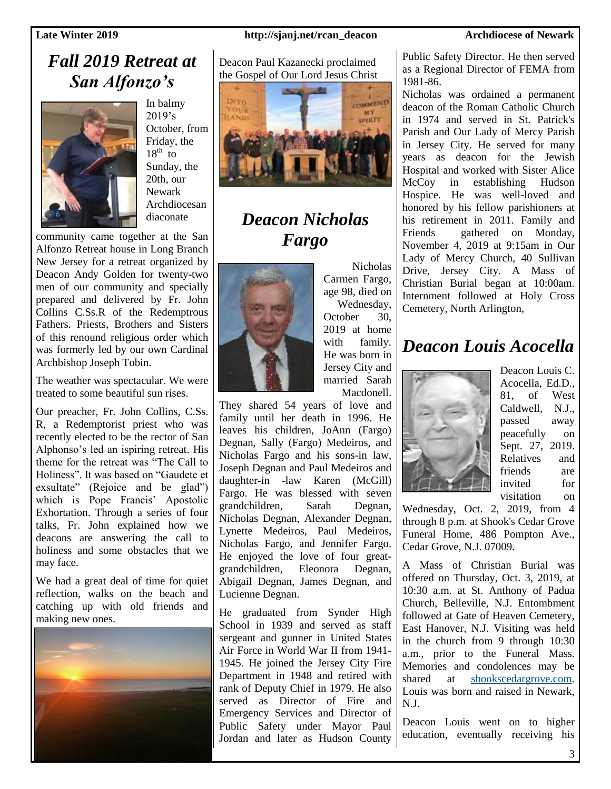## *Fall 2019 Retreat at San Alfonzo's*



In balmy  $2019's$ October, from Friday, the  $18^{th}$  to Sunday, the 20th, our Newark Archdiocesan diaconate

community came together at the San Alfonzo Retreat house in Long Branch New Jersey for a retreat organized by Deacon Andy Golden for twenty-two men of our community and specially prepared and delivered by Fr. John Collins C.Ss.R of the Redemptrous Fathers. Priests, Brothers and Sisters of this renound religious order which was formerly led by our own Cardinal Archbishop Joseph Tobin.

The weather was spectacular. We were treated to some beautiful sun rises.

Our preacher, Fr. John Collins, C.Ss. R, a Redemptorist priest who was recently elected to be the rector of San Alphonso's led an ispiring retreat. His theme for the retreat was "The Call to Holiness". It was based on "Gaudete et exsultate" (Rejoice and be glad") which is Pope Francis' Apostolic Exhortation. Through a series of four talks, Fr. John explained how we deacons are answering the call to holiness and some obstacles that we may face.

We had a great deal of time for quiet reflection, walks on the beach and catching up with old friends and making new ones.



### **Late Winter 2019 http://sjanj.net/rcan\_deacon Archdiocese of Newark**

Deacon Paul Kazanecki proclaimed the Gospel of Our Lord Jesus Christ



## *Deacon Nicholas Fargo*



Nicholas Carmen Fargo, age 98, died on Wednesday, October 30, 2019 at home with family. He was born in Jersey City and married Sarah Macdonell.

They shared 54 years of love and family until her death in 1996. He leaves his children, JoAnn (Fargo) Degnan, Sally (Fargo) Medeiros, and Nicholas Fargo and his sons-in law, Joseph Degnan and Paul Medeiros and daughter-in -law Karen (McGill) Fargo. He was blessed with seven grandchildren, Sarah Degnan, Nicholas Degnan, Alexander Degnan, Lynette Medeiros, Paul Medeiros, Nicholas Fargo, and Jennifer Fargo. He enjoyed the love of four greatgrandchildren, Eleonora Degnan, Abigail Degnan, James Degnan, and Lucienne Degnan.

He graduated from Synder High School in 1939 and served as staff sergeant and gunner in United States Air Force in World War II from 1941- 1945. He joined the Jersey City Fire Department in 1948 and retired with rank of Deputy Chief in 1979. He also served as Director of Fire and Emergency Services and Director of Public Safety under Mayor Paul Jordan and later as Hudson County

Public Safety Director. He then served as a Regional Director of FEMA from 1981-86.

Nicholas was ordained a permanent deacon of the Roman Catholic Church in 1974 and served in St. Patrick's Parish and Our Lady of Mercy Parish in Jersey City. He served for many years as deacon for the Jewish Hospital and worked with Sister Alice McCoy in establishing Hudson Hospice. He was well-loved and honored by his fellow parishioners at his retirement in 2011. Family and Friends gathered on Monday, November 4, 2019 at 9:15am in Our Lady of Mercy Church, 40 Sullivan Drive, Jersey City. A Mass of Christian Burial began at 10:00am. Internment followed at Holy Cross Cemetery, North Arlington,

### *Deacon Louis Acocella*



Deacon Louis C. Acocella, Ed.D., 81, of West Caldwell, N.J., passed away peacefully on Sept. 27, 2019. Relatives and friends are invited for visitation on

Wednesday, Oct. 2, 2019, from 4 through 8 p.m. at Shook's Cedar Grove Funeral Home, 486 Pompton Ave., Cedar Grove, N.J. 07009.

A Mass of Christian Burial was offered on Thursday, Oct. 3, 2019, at 10:30 a.m. at St. Anthony of Padua Church, Belleville, N.J. Entombment followed at Gate of Heaven Cemetery, East Hanover, N.J. Visiting was held in the church from 9 through 10:30 a.m., prior to the Funeral Mass. Memories and condolences may be shared at [shookscedargrove.com.](http://shookscedargrove.com/) Louis was born and raised in Newark, N.J.

Deacon Louis went on to higher education, eventually receiving his